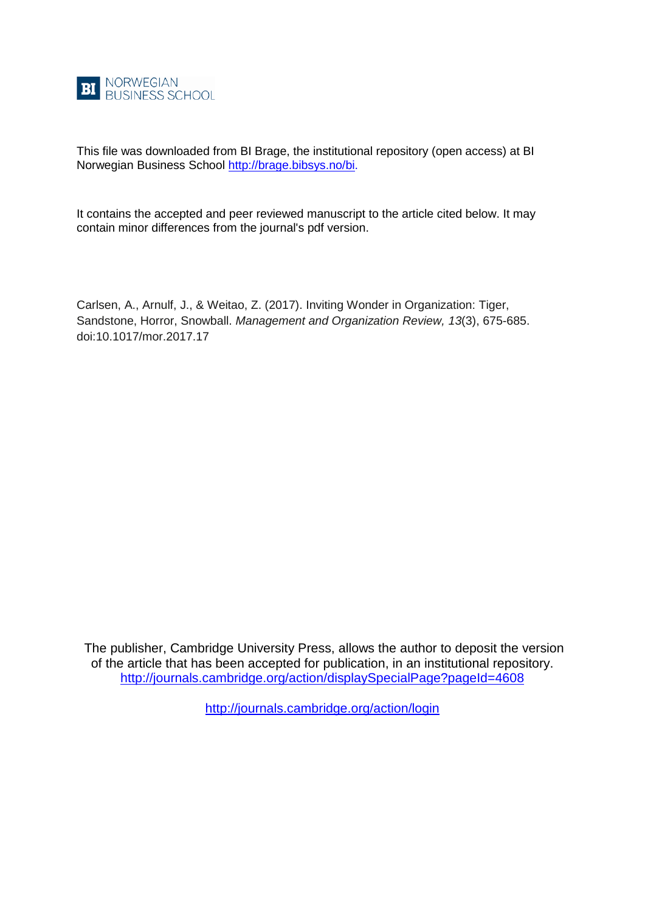

This file was downloaded from BI Brage, the institutional repository (open access) at BI Norwegian Business School [http://brage.bibsys.no/bi.](http://brage.bibsys.no/bi)

It contains the accepted and peer reviewed manuscript to the article cited below. It may contain minor differences from the journal's pdf version.

Carlsen, A., Arnulf, J., & Weitao, Z. (2017). Inviting Wonder in Organization: Tiger, Sandstone, Horror, Snowball. *Management and Organization Review, 13*(3), 675-685. doi:10.1017/mor.2017.17

The publisher, Cambridge University Press, allows the author to deposit the version of the article that has been accepted for publication, in an institutional repository. <http://journals.cambridge.org/action/displaySpecialPage?pageId=4608>

<http://journals.cambridge.org/action/login>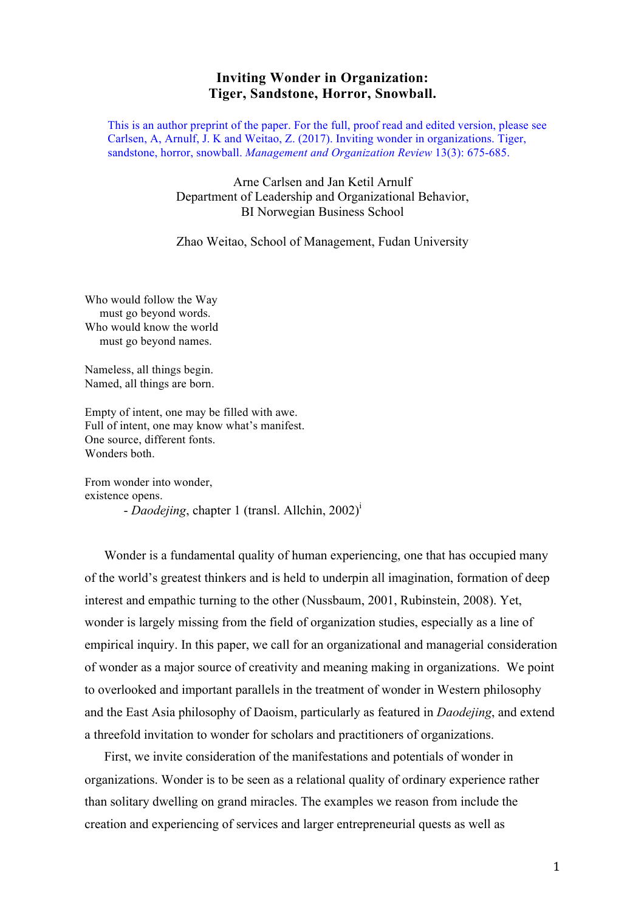# **Inviting Wonder in Organization: Tiger, Sandstone, Horror, Snowball.**

This is an author preprint of the paper. For the full, proof read and edited version, please see Carlsen, A, Arnulf, J. K and Weitao, Z. (2017). Inviting wonder in organizations. Tiger, sandstone, horror, snowball. *Management and Organization Review* 13(3): 675-685.

> Arne Carlsen and Jan Ketil Arnulf Department of Leadership and Organizational Behavior, BI Norwegian Business School

> Zhao Weitao, School of Management, Fudan University

Who would follow the Way must go beyond words. Who would know the world must go beyond names.

Nameless, all things begin. Named, all things are born.

Empty of intent, one may be filled with awe. Full of intent, one may know what's manifest. One source, different fonts. Wonders both.

From wonder into wonder, existence opens.

- *Daodejing*, chapter 1 (transl. Allchin, 2002)<sup>i</sup>

Wonder is a fundamental quality of human experiencing, one that has occupied many of the world's greatest thinkers and is held to underpin all imagination, formation of deep interest and empathic turning to the other (Nussbaum, 2001, Rubinstein, 2008). Yet, wonder is largely missing from the field of organization studies, especially as a line of empirical inquiry. In this paper, we call for an organizational and managerial consideration of wonder as a major source of creativity and meaning making in organizations. We point to overlooked and important parallels in the treatment of wonder in Western philosophy and the East Asia philosophy of Daoism, particularly as featured in *Daodejing*, and extend a threefold invitation to wonder for scholars and practitioners of organizations.

First, we invite consideration of the manifestations and potentials of wonder in organizations. Wonder is to be seen as a relational quality of ordinary experience rather than solitary dwelling on grand miracles. The examples we reason from include the creation and experiencing of services and larger entrepreneurial quests as well as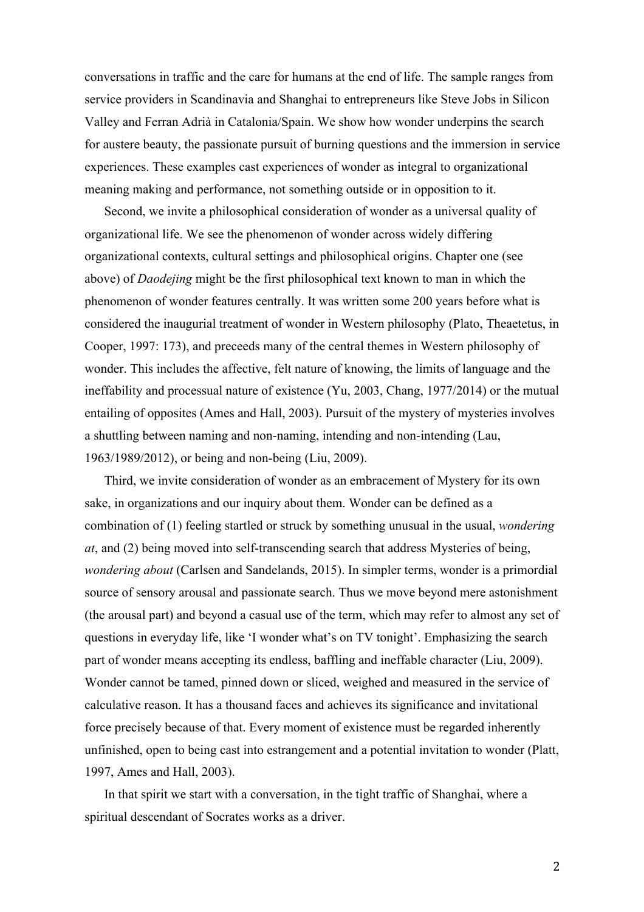conversations in traffic and the care for humans at the end of life. The sample ranges from service providers in Scandinavia and Shanghai to entrepreneurs like Steve Jobs in Silicon Valley and Ferran Adrià in Catalonia/Spain. We show how wonder underpins the search for austere beauty, the passionate pursuit of burning questions and the immersion in service experiences. These examples cast experiences of wonder as integral to organizational meaning making and performance, not something outside or in opposition to it.

Second, we invite a philosophical consideration of wonder as a universal quality of organizational life. We see the phenomenon of wonder across widely differing organizational contexts, cultural settings and philosophical origins. Chapter one (see above) of *Daodejing* might be the first philosophical text known to man in which the phenomenon of wonder features centrally. It was written some 200 years before what is considered the inaugurial treatment of wonder in Western philosophy (Plato, Theaetetus, in Cooper, 1997: 173), and preceeds many of the central themes in Western philosophy of wonder. This includes the affective, felt nature of knowing, the limits of language and the ineffability and processual nature of existence (Yu, 2003, Chang, 1977/2014) or the mutual entailing of opposites (Ames and Hall, 2003). Pursuit of the mystery of mysteries involves a shuttling between naming and non-naming, intending and non-intending (Lau, 1963/1989/2012), or being and non-being (Liu, 2009).

Third, we invite consideration of wonder as an embracement of Mystery for its own sake, in organizations and our inquiry about them. Wonder can be defined as a combination of (1) feeling startled or struck by something unusual in the usual, *wondering at*, and (2) being moved into self-transcending search that address Mysteries of being, *wondering about* (Carlsen and Sandelands, 2015). In simpler terms, wonder is a primordial source of sensory arousal and passionate search. Thus we move beyond mere astonishment (the arousal part) and beyond a casual use of the term, which may refer to almost any set of questions in everyday life, like 'I wonder what's on TV tonight'. Emphasizing the search part of wonder means accepting its endless, baffling and ineffable character (Liu, 2009). Wonder cannot be tamed, pinned down or sliced, weighed and measured in the service of calculative reason. It has a thousand faces and achieves its significance and invitational force precisely because of that. Every moment of existence must be regarded inherently unfinished, open to being cast into estrangement and a potential invitation to wonder (Platt, 1997, Ames and Hall, 2003).

In that spirit we start with a conversation, in the tight traffic of Shanghai, where a spiritual descendant of Socrates works as a driver.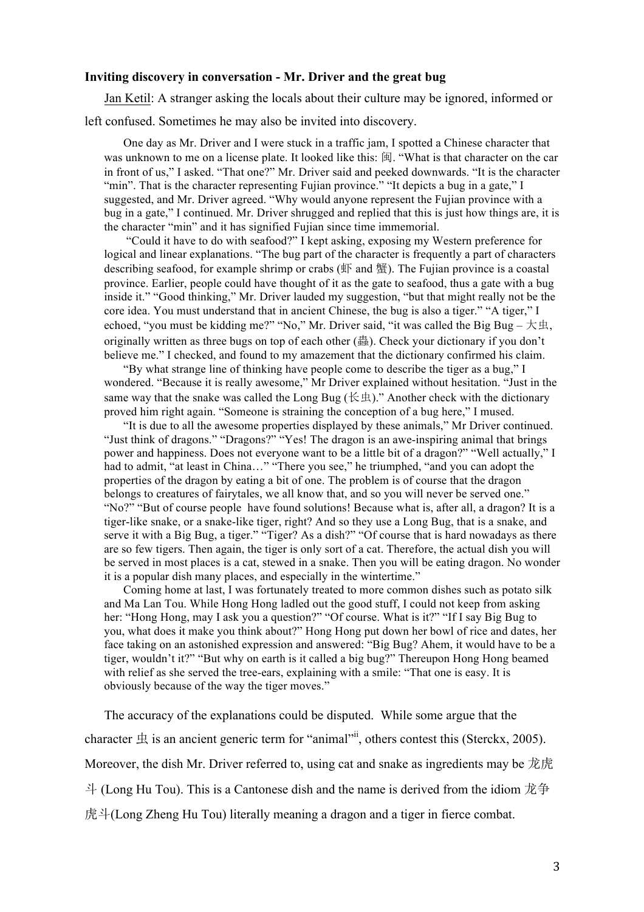### **Inviting discovery in conversation - Mr. Driver and the great bug**

Jan Ketil: A stranger asking the locals about their culture may be ignored, informed or left confused. Sometimes he may also be invited into discovery.

One day as Mr. Driver and I were stuck in a traffic jam, I spotted a Chinese character that was unknown to me on a license plate. It looked like this: 闽. "What is that character on the car in front of us," I asked. "That one?" Mr. Driver said and peeked downwards. "It is the character "min". That is the character representing Fujian province." "It depicts a bug in a gate." I suggested, and Mr. Driver agreed. "Why would anyone represent the Fujian province with a bug in a gate," I continued. Mr. Driver shrugged and replied that this is just how things are, it is the character "min" and it has signified Fujian since time immemorial.

"Could it have to do with seafood?" I kept asking, exposing my Western preference for logical and linear explanations. "The bug part of the character is frequently a part of characters describing seafood, for example shrimp or crabs  $(\text{IF}$  and  $\text{H}$ ). The Fujian province is a coastal province. Earlier, people could have thought of it as the gate to seafood, thus a gate with a bug inside it." "Good thinking," Mr. Driver lauded my suggestion, "but that might really not be the core idea. You must understand that in ancient Chinese, the bug is also a tiger." "A tiger," I echoed, "you must be kidding me?" "No," Mr. Driver said, "it was called the Big Bug –  $\not$   $\not$   $\pm$   $\uparrow$ , originally written as three bugs on top of each other (蟲). Check your dictionary if you don't believe me." I checked, and found to my amazement that the dictionary confirmed his claim.

"By what strange line of thinking have people come to describe the tiger as a bug," I wondered. "Because it is really awesome," Mr Driver explained without hesitation. "Just in the same way that the snake was called the Long Bug ( $\bigoplus$   $\pm$ )." Another check with the dictionary proved him right again. "Someone is straining the conception of a bug here," I mused.

"It is due to all the awesome properties displayed by these animals," Mr Driver continued. "Just think of dragons." "Dragons?" "Yes! The dragon is an awe-inspiring animal that brings power and happiness. Does not everyone want to be a little bit of a dragon?" "Well actually," I had to admit, "at least in China..." "There you see," he triumphed, "and you can adopt the properties of the dragon by eating a bit of one. The problem is of course that the dragon belongs to creatures of fairytales, we all know that, and so you will never be served one." "No?" "But of course people have found solutions! Because what is, after all, a dragon? It is a tiger-like snake, or a snake-like tiger, right? And so they use a Long Bug, that is a snake, and serve it with a Big Bug, a tiger." "Tiger? As a dish?" "Of course that is hard nowadays as there are so few tigers. Then again, the tiger is only sort of a cat. Therefore, the actual dish you will be served in most places is a cat, stewed in a snake. Then you will be eating dragon. No wonder it is a popular dish many places, and especially in the wintertime."

Coming home at last, I was fortunately treated to more common dishes such as potato silk and Ma Lan Tou. While Hong Hong ladled out the good stuff, I could not keep from asking her: "Hong Hong, may I ask you a question?" "Of course. What is it?" "If I say Big Bug to you, what does it make you think about?" Hong Hong put down her bowl of rice and dates, her face taking on an astonished expression and answered: "Big Bug? Ahem, it would have to be a tiger, wouldn't it?" "But why on earth is it called a big bug?" Thereupon Hong Hong beamed with relief as she served the tree-ears, explaining with a smile: "That one is easy. It is obviously because of the way the tiger moves."

The accuracy of the explanations could be disputed. While some argue that the character  $\pm$  is an ancient generic term for "animal"<sup>ii</sup>, others contest this (Sterckx, 2005). Moreover, the dish Mr. Driver referred to, using cat and snake as ingredients may be 龙虎 斗 (Long Hu Tou). This is a Cantonese dish and the name is derived from the idiom  $\hat{\pi}$ 争 虎斗(Long Zheng Hu Tou) literally meaning a dragon and a tiger in fierce combat.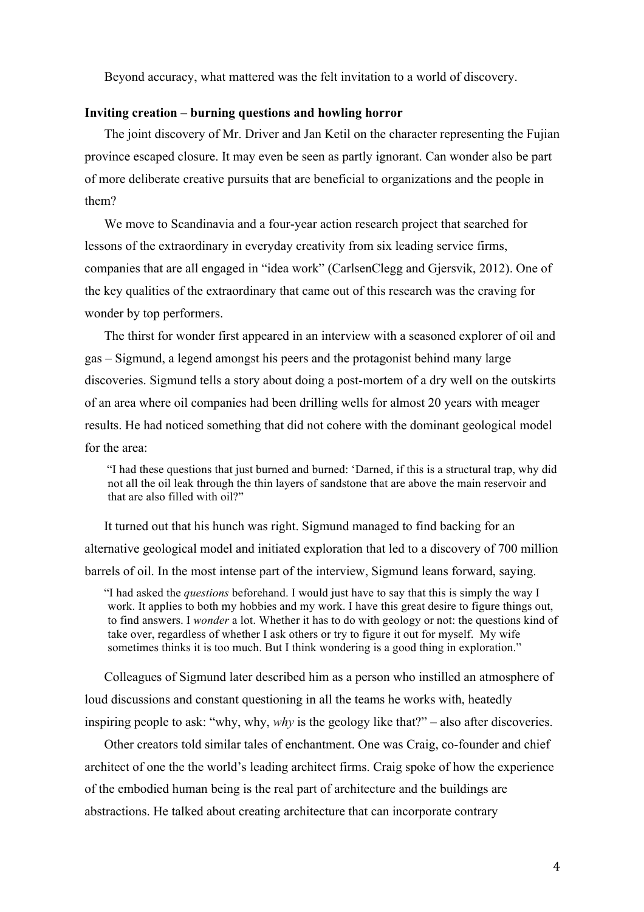Beyond accuracy, what mattered was the felt invitation to a world of discovery.

### **Inviting creation – burning questions and howling horror**

The joint discovery of Mr. Driver and Jan Ketil on the character representing the Fujian province escaped closure. It may even be seen as partly ignorant. Can wonder also be part of more deliberate creative pursuits that are beneficial to organizations and the people in them?

We move to Scandinavia and a four-year action research project that searched for lessons of the extraordinary in everyday creativity from six leading service firms, companies that are all engaged in "idea work" (CarlsenClegg and Gjersvik, 2012). One of the key qualities of the extraordinary that came out of this research was the craving for wonder by top performers.

The thirst for wonder first appeared in an interview with a seasoned explorer of oil and gas – Sigmund, a legend amongst his peers and the protagonist behind many large discoveries. Sigmund tells a story about doing a post-mortem of a dry well on the outskirts of an area where oil companies had been drilling wells for almost 20 years with meager results. He had noticed something that did not cohere with the dominant geological model for the area:

"I had these questions that just burned and burned: 'Darned, if this is a structural trap, why did not all the oil leak through the thin layers of sandstone that are above the main reservoir and that are also filled with oil?"

It turned out that his hunch was right. Sigmund managed to find backing for an alternative geological model and initiated exploration that led to a discovery of 700 million barrels of oil. In the most intense part of the interview, Sigmund leans forward, saying.

"I had asked the *questions* beforehand. I would just have to say that this is simply the way I work. It applies to both my hobbies and my work. I have this great desire to figure things out, to find answers. I *wonder* a lot. Whether it has to do with geology or not: the questions kind of take over, regardless of whether I ask others or try to figure it out for myself. My wife sometimes thinks it is too much. But I think wondering is a good thing in exploration."

Colleagues of Sigmund later described him as a person who instilled an atmosphere of loud discussions and constant questioning in all the teams he works with, heatedly inspiring people to ask: "why, why, *why* is the geology like that?" – also after discoveries.

Other creators told similar tales of enchantment. One was Craig, co-founder and chief architect of one the the world's leading architect firms. Craig spoke of how the experience of the embodied human being is the real part of architecture and the buildings are abstractions. He talked about creating architecture that can incorporate contrary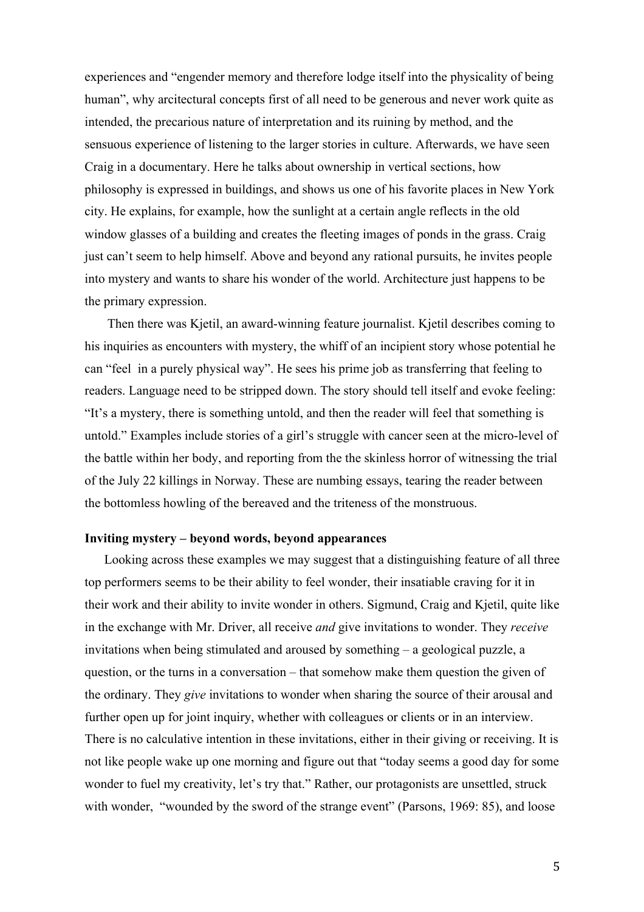experiences and "engender memory and therefore lodge itself into the physicality of being human", why arcitectural concepts first of all need to be generous and never work quite as intended, the precarious nature of interpretation and its ruining by method, and the sensuous experience of listening to the larger stories in culture. Afterwards, we have seen Craig in a documentary. Here he talks about ownership in vertical sections, how philosophy is expressed in buildings, and shows us one of his favorite places in New York city. He explains, for example, how the sunlight at a certain angle reflects in the old window glasses of a building and creates the fleeting images of ponds in the grass. Craig just can't seem to help himself. Above and beyond any rational pursuits, he invites people into mystery and wants to share his wonder of the world. Architecture just happens to be the primary expression.

Then there was Kjetil, an award-winning feature journalist. Kjetil describes coming to his inquiries as encounters with mystery, the whiff of an incipient story whose potential he can "feel in a purely physical way". He sees his prime job as transferring that feeling to readers. Language need to be stripped down. The story should tell itself and evoke feeling: "It's a mystery, there is something untold, and then the reader will feel that something is untold." Examples include stories of a girl's struggle with cancer seen at the micro-level of the battle within her body, and reporting from the the skinless horror of witnessing the trial of the July 22 killings in Norway. These are numbing essays, tearing the reader between the bottomless howling of the bereaved and the triteness of the monstruous.

#### **Inviting mystery – beyond words, beyond appearances**

Looking across these examples we may suggest that a distinguishing feature of all three top performers seems to be their ability to feel wonder, their insatiable craving for it in their work and their ability to invite wonder in others. Sigmund, Craig and Kjetil, quite like in the exchange with Mr. Driver, all receive *and* give invitations to wonder. They *receive* invitations when being stimulated and aroused by something – a geological puzzle, a question, or the turns in a conversation – that somehow make them question the given of the ordinary. They *give* invitations to wonder when sharing the source of their arousal and further open up for joint inquiry, whether with colleagues or clients or in an interview. There is no calculative intention in these invitations, either in their giving or receiving. It is not like people wake up one morning and figure out that "today seems a good day for some wonder to fuel my creativity, let's try that." Rather, our protagonists are unsettled, struck with wonder, "wounded by the sword of the strange event" (Parsons, 1969: 85), and loose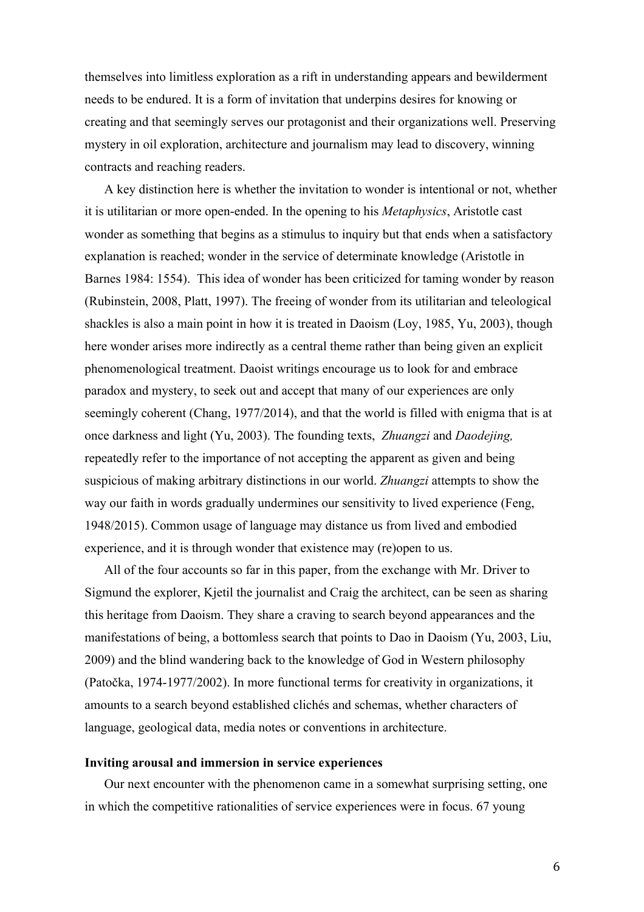themselves into limitless exploration as a rift in understanding appears and bewilderment needs to be endured. It is a form of invitation that underpins desires for knowing or creating and that seemingly serves our protagonist and their organizations well. Preserving mystery in oil exploration, architecture and journalism may lead to discovery, winning contracts and reaching readers.

A key distinction here is whether the invitation to wonder is intentional or not, whether it is utilitarian or more open-ended. In the opening to his *Metaphysics*, Aristotle cast wonder as something that begins as a stimulus to inquiry but that ends when a satisfactory explanation is reached; wonder in the service of determinate knowledge (Aristotle in Barnes 1984: 1554). This idea of wonder has been criticized for taming wonder by reason (Rubinstein, 2008, Platt, 1997). The freeing of wonder from its utilitarian and teleological shackles is also a main point in how it is treated in Daoism (Loy, 1985, Yu, 2003), though here wonder arises more indirectly as a central theme rather than being given an explicit phenomenological treatment. Daoist writings encourage us to look for and embrace paradox and mystery, to seek out and accept that many of our experiences are only seemingly coherent (Chang, 1977/2014), and that the world is filled with enigma that is at once darkness and light (Yu, 2003). The founding texts, *Zhuangzi* and *Daodejing,* repeatedly refer to the importance of not accepting the apparent as given and being suspicious of making arbitrary distinctions in our world. *Zhuangzi* attempts to show the way our faith in words gradually undermines our sensitivity to lived experience (Feng, 1948/2015). Common usage of language may distance us from lived and embodied experience, and it is through wonder that existence may (re)open to us.

All of the four accounts so far in this paper, from the exchange with Mr. Driver to Sigmund the explorer, Kjetil the journalist and Craig the architect, can be seen as sharing this heritage from Daoism. They share a craving to search beyond appearances and the manifestations of being, a bottomless search that points to Dao in Daoism (Yu, 2003, Liu, 2009) and the blind wandering back to the knowledge of God in Western philosophy (Patočka, 1974-1977/2002). In more functional terms for creativity in organizations, it amounts to a search beyond established clichés and schemas, whether characters of language, geological data, media notes or conventions in architecture.

#### **Inviting arousal and immersion in service experiences**

Our next encounter with the phenomenon came in a somewhat surprising setting, one in which the competitive rationalities of service experiences were in focus. 67 young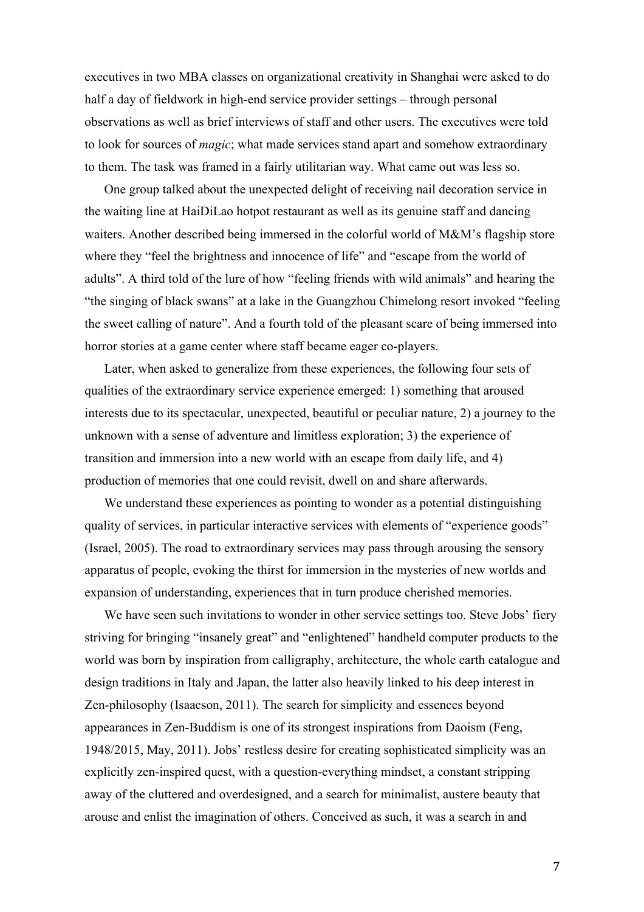executives in two MBA classes on organizational creativity in Shanghai were asked to do half a day of fieldwork in high-end service provider settings – through personal observations as well as brief interviews of staff and other users. The executives were told to look for sources of *magic*; what made services stand apart and somehow extraordinary to them. The task was framed in a fairly utilitarian way. What came out was less so.

One group talked about the unexpected delight of receiving nail decoration service in the waiting line at HaiDiLao hotpot restaurant as well as its genuine staff and dancing waiters. Another described being immersed in the colorful world of M&M's flagship store where they "feel the brightness and innocence of life" and "escape from the world of adults". A third told of the lure of how "feeling friends with wild animals" and hearing the "the singing of black swans" at a lake in the Guangzhou Chimelong resort invoked "feeling the sweet calling of nature". And a fourth told of the pleasant scare of being immersed into horror stories at a game center where staff became eager co-players.

Later, when asked to generalize from these experiences, the following four sets of qualities of the extraordinary service experience emerged: 1) something that aroused interests due to its spectacular, unexpected, beautiful or peculiar nature, 2) a journey to the unknown with a sense of adventure and limitless exploration; 3) the experience of transition and immersion into a new world with an escape from daily life, and 4) production of memories that one could revisit, dwell on and share afterwards.

We understand these experiences as pointing to wonder as a potential distinguishing quality of services, in particular interactive services with elements of "experience goods" (Israel, 2005). The road to extraordinary services may pass through arousing the sensory apparatus of people, evoking the thirst for immersion in the mysteries of new worlds and expansion of understanding, experiences that in turn produce cherished memories.

We have seen such invitations to wonder in other service settings too. Steve Jobs' fiery striving for bringing "insanely great" and "enlightened" handheld computer products to the world was born by inspiration from calligraphy, architecture, the whole earth catalogue and design traditions in Italy and Japan, the latter also heavily linked to his deep interest in Zen-philosophy (Isaacson, 2011). The search for simplicity and essences beyond appearances in Zen-Buddism is one of its strongest inspirations from Daoism (Feng, 1948/2015, May, 2011). Jobs' restless desire for creating sophisticated simplicity was an explicitly zen-inspired quest, with a question-everything mindset, a constant stripping away of the cluttered and overdesigned, and a search for minimalist, austere beauty that arouse and enlist the imagination of others. Conceived as such, it was a search in and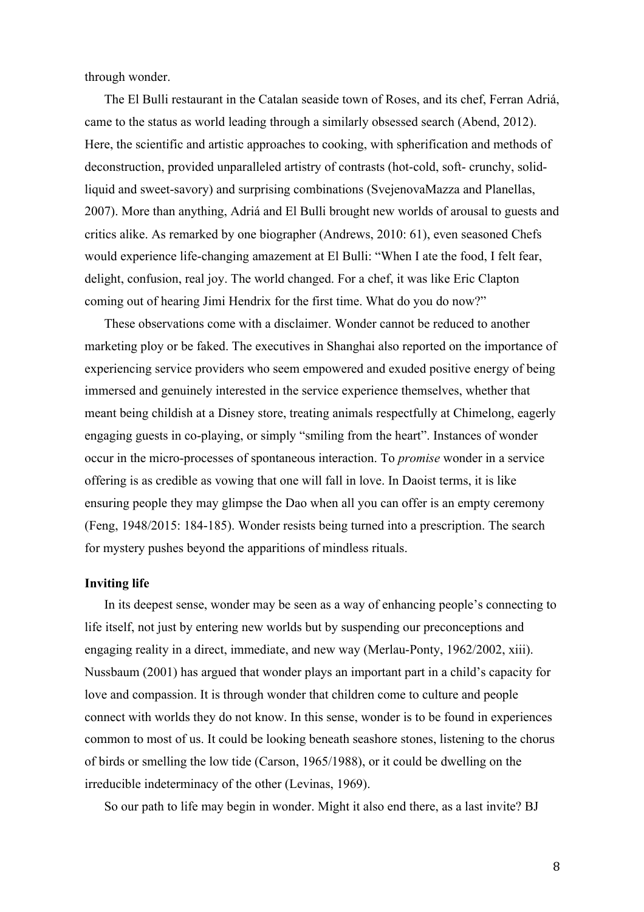through wonder.

The El Bulli restaurant in the Catalan seaside town of Roses, and its chef, Ferran Adriá, came to the status as world leading through a similarly obsessed search (Abend, 2012). Here, the scientific and artistic approaches to cooking, with spherification and methods of deconstruction, provided unparalleled artistry of contrasts (hot-cold, soft- crunchy, solidliquid and sweet-savory) and surprising combinations (SvejenovaMazza and Planellas, 2007). More than anything, Adriá and El Bulli brought new worlds of arousal to guests and critics alike. As remarked by one biographer (Andrews, 2010: 61), even seasoned Chefs would experience life-changing amazement at El Bulli: "When I ate the food, I felt fear, delight, confusion, real joy. The world changed. For a chef, it was like Eric Clapton coming out of hearing Jimi Hendrix for the first time. What do you do now?"

These observations come with a disclaimer. Wonder cannot be reduced to another marketing ploy or be faked. The executives in Shanghai also reported on the importance of experiencing service providers who seem empowered and exuded positive energy of being immersed and genuinely interested in the service experience themselves, whether that meant being childish at a Disney store, treating animals respectfully at Chimelong, eagerly engaging guests in co-playing, or simply "smiling from the heart". Instances of wonder occur in the micro-processes of spontaneous interaction. To *promise* wonder in a service offering is as credible as vowing that one will fall in love. In Daoist terms, it is like ensuring people they may glimpse the Dao when all you can offer is an empty ceremony (Feng, 1948/2015: 184-185). Wonder resists being turned into a prescription. The search for mystery pushes beyond the apparitions of mindless rituals.

#### **Inviting life**

In its deepest sense, wonder may be seen as a way of enhancing people's connecting to life itself, not just by entering new worlds but by suspending our preconceptions and engaging reality in a direct, immediate, and new way (Merlau-Ponty, 1962/2002, xiii). Nussbaum (2001) has argued that wonder plays an important part in a child's capacity for love and compassion. It is through wonder that children come to culture and people connect with worlds they do not know. In this sense, wonder is to be found in experiences common to most of us. It could be looking beneath seashore stones, listening to the chorus of birds or smelling the low tide (Carson, 1965/1988), or it could be dwelling on the irreducible indeterminacy of the other (Levinas, 1969).

So our path to life may begin in wonder. Might it also end there, as a last invite? BJ

8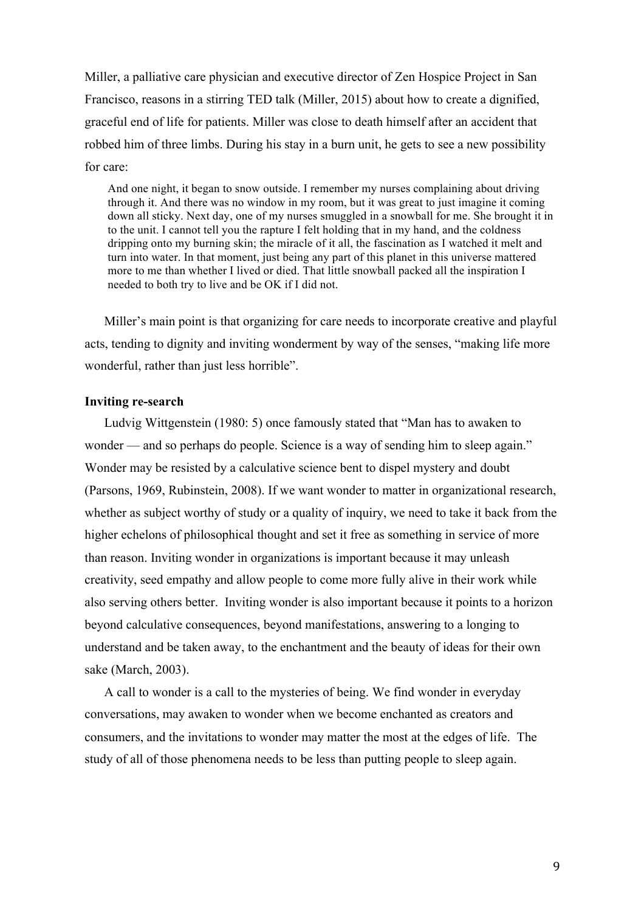Miller, a palliative care physician and executive director of Zen Hospice Project in San Francisco, reasons in a stirring TED talk (Miller, 2015) about how to create a dignified, graceful end of life for patients. Miller was close to death himself after an accident that robbed him of three limbs. During his stay in a burn unit, he gets to see a new possibility for care:

And one night, it began to snow outside. I remember my nurses complaining about driving through it. And there was no window in my room, but it was great to just imagine it coming down all sticky. Next day, one of my nurses smuggled in a snowball for me. She brought it in to the unit. I cannot tell you the rapture I felt holding that in my hand, and the coldness dripping onto my burning skin; the miracle of it all, the fascination as I watched it melt and turn into water. In that moment, just being any part of this planet in this universe mattered more to me than whether I lived or died. That little snowball packed all the inspiration I needed to both try to live and be OK if I did not.

Miller's main point is that organizing for care needs to incorporate creative and playful acts, tending to dignity and inviting wonderment by way of the senses, "making life more wonderful, rather than just less horrible".

### **Inviting re-search**

Ludvig Wittgenstein (1980: 5) once famously stated that "Man has to awaken to wonder — and so perhaps do people. Science is a way of sending him to sleep again." Wonder may be resisted by a calculative science bent to dispel mystery and doubt (Parsons, 1969, Rubinstein, 2008). If we want wonder to matter in organizational research, whether as subject worthy of study or a quality of inquiry, we need to take it back from the higher echelons of philosophical thought and set it free as something in service of more than reason. Inviting wonder in organizations is important because it may unleash creativity, seed empathy and allow people to come more fully alive in their work while also serving others better. Inviting wonder is also important because it points to a horizon beyond calculative consequences, beyond manifestations, answering to a longing to understand and be taken away, to the enchantment and the beauty of ideas for their own sake (March, 2003).

A call to wonder is a call to the mysteries of being. We find wonder in everyday conversations, may awaken to wonder when we become enchanted as creators and consumers, and the invitations to wonder may matter the most at the edges of life. The study of all of those phenomena needs to be less than putting people to sleep again.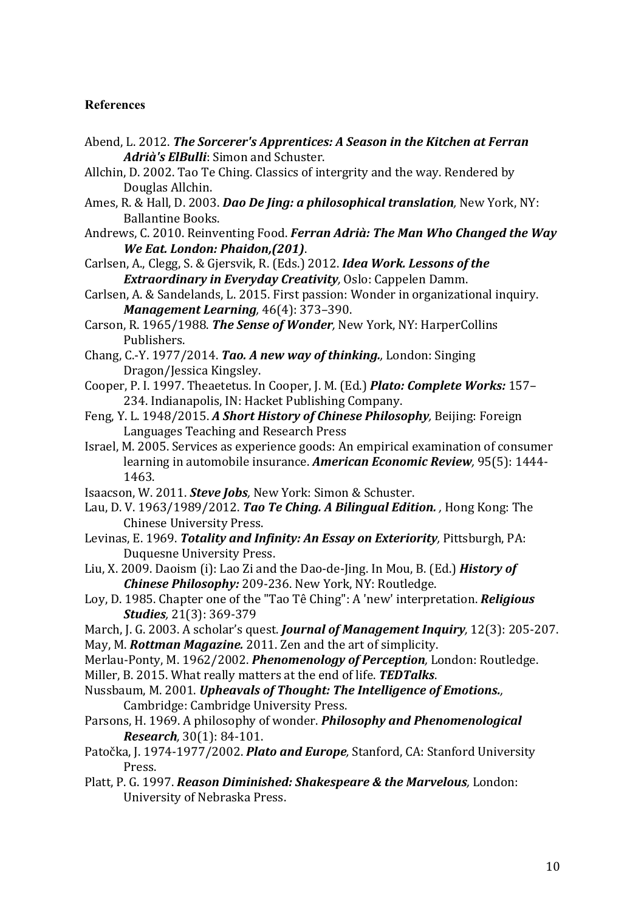## **References**

- Abend, L. 2012. *The Sorcerer's Apprentices: A Season in the Kitchen at Ferran* Adrià's ElBulli: Simon and Schuster.
- Allchin, D. 2002. Tao Te Ching. Classics of intergrity and the way. Rendered by Douglas Allchin.
- Ames, R. & Hall, D. 2003. *Dao De Jing: a philosophical translation*, New York, NY: Ballantine Books.
- Andrews, C. 2010. Reinventing Food. *Ferran Adrià: The Man Who Changed the Way We Eat. London: Phaidon,(201).*
- Carlsen, A., Clegg, S. & Gjersvik, R. (Eds.) 2012. *Idea Work. Lessons of the Extraordinary in Everyday Creativity*, Oslo: Cappelen Damm.
- Carlsen, A. & Sandelands, L. 2015. First passion: Wonder in organizational inquiry. *Management Learning*, 46(4): 373-390.
- Carson, R. 1965/1988. *The Sense of Wonder*, New York, NY: HarperCollins Publishers.
- Chang, C.-Y. 1977/2014. *Tao. A new way of thinking.*, London: Singing Dragon/Jessica Kingsley.
- Cooper, P. I. 1997. Theaetetus. In Cooper, J. M. (Ed.) *Plato: Complete Works:* 157– 234. Indianapolis, IN: Hacket Publishing Company.
- Feng, Y. L. 1948/2015. A Short History of Chinese Philosophy, Beijing: Foreign Languages Teaching and Research Press
- Israel, M. 2005. Services as experience goods: An empirical examination of consumer learning in automobile insurance. **American Economic Review**, 95(5): 1444-1463.
- Isaacson, W. 2011. *Steve Jobs*, New York: Simon & Schuster.
- Lau, D. V. 1963/1989/2012. *Tao Te Ching. A Bilingual Edition.*, Hong Kong: The Chinese University Press.
- Levinas, E. 1969. *Totality and Infinity: An Essay on Exteriority*, Pittsburgh, PA: Duquesne University Press.
- Liu, X. 2009. Daoism (i): Lao Zi and the Dao-de-Jing. In Mou, B. (Ed.) **History of Chinese Philosophy:** 209-236. New York, NY: Routledge.
- Loy, D. 1985. Chapter one of the "Tao Tê Ching": A 'new' interpretation. *Religious Studies,* 21(3): 369-379
- March, J. G. 2003. A scholar's quest. *Journal of Management Inquiry*, 12(3): 205-207. May, M. **Rottman Magazine.** 2011. Zen and the art of simplicity.
- Merlau-Ponty, M. 1962/2002. *Phenomenology of Perception*, London: Routledge.
- Miller, B. 2015. What really matters at the end of life. **TEDTalks**.
- Nussbaum, M. 2001. *Upheavals of Thought: The Intelligence of Emotions.,* Cambridge: Cambridge University Press.
- Parsons, H. 1969. A philosophy of wonder. *Philosophy and Phenomenological Research,* 30(1): 84-101.
- Patočka, J. 1974-1977/2002. *Plato and Europe*, Stanford, CA: Stanford University Press.
- Platt, P. G. 1997. *Reason Diminished: Shakespeare & the Marvelous*, London: University of Nebraska Press.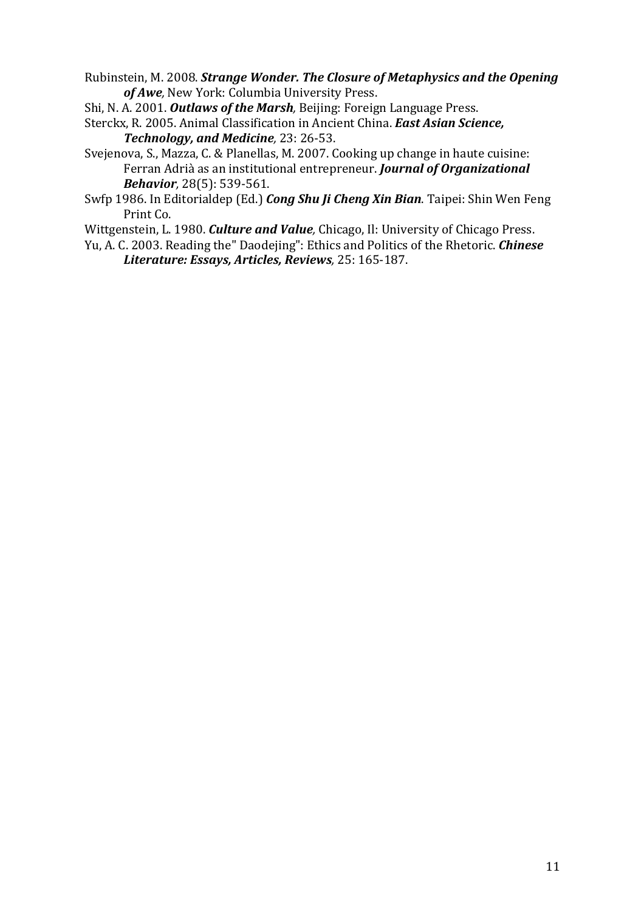Rubinstein, M. 2008. *Strange Wonder. The Closure of Metaphysics and the Opening* of Awe, New York: Columbia University Press.

Shi, N. A. 2001. **Outlaws of the Marsh**, Beijing: Foreign Language Press.

Sterckx, R. 2005. Animal Classification in Ancient China. *East Asian Science*, **Technology, and Medicine**, 23: 26-53.

Svejenova, S., Mazza, C. & Planellas, M. 2007. Cooking up change in haute cuisine: Ferran Adrià as an institutional entrepreneur. *Journal of Organizational Behavior,* 28(5): 539-561.

Swfp 1986. In Editorialdep (Ed.) *Cong Shu Ji Cheng Xin Bian*. Taipei: Shin Wen Feng Print Co.

Wittgenstein, L. 1980. *Culture and Value*, Chicago, Il: University of Chicago Press.

Yu, A. C. 2003. Reading the" Daodejing": Ethics and Politics of the Rhetoric. *Chinese Literature: Essays, Articles, Reviews,* 25: 165-187.